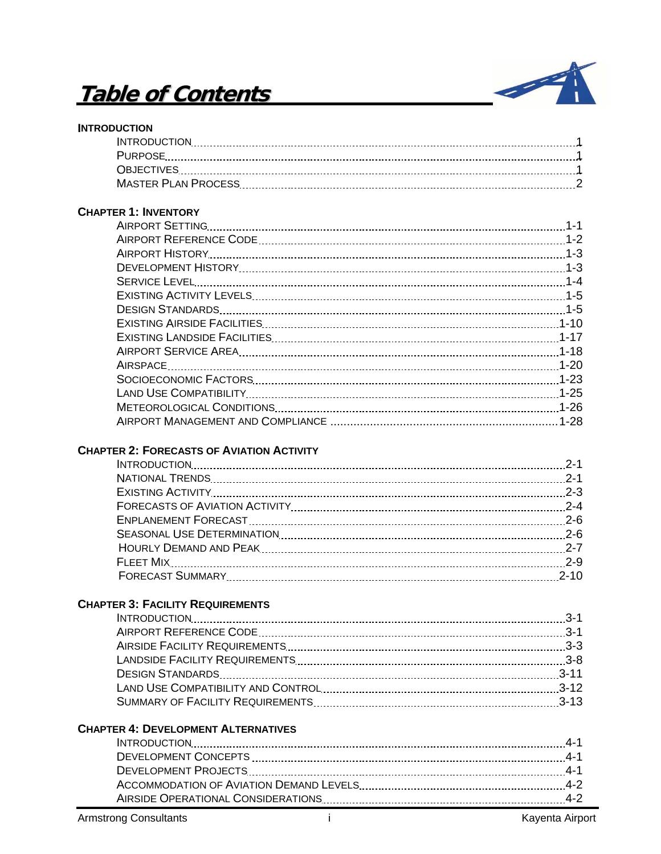# **Table of Contents**



#### **INTRODUCTION**

## **CHAPTER 1: INVENTORY**

### **CHAPTER 2: FORECASTS OF AVIATION ACTIVITY**

| $2 - 10$ |
|----------|

## **CHAPTER 3: FACILITY REQUIREMENTS**

#### **CHAPTER 4: DEVELOPMENT ALTERNATIVES**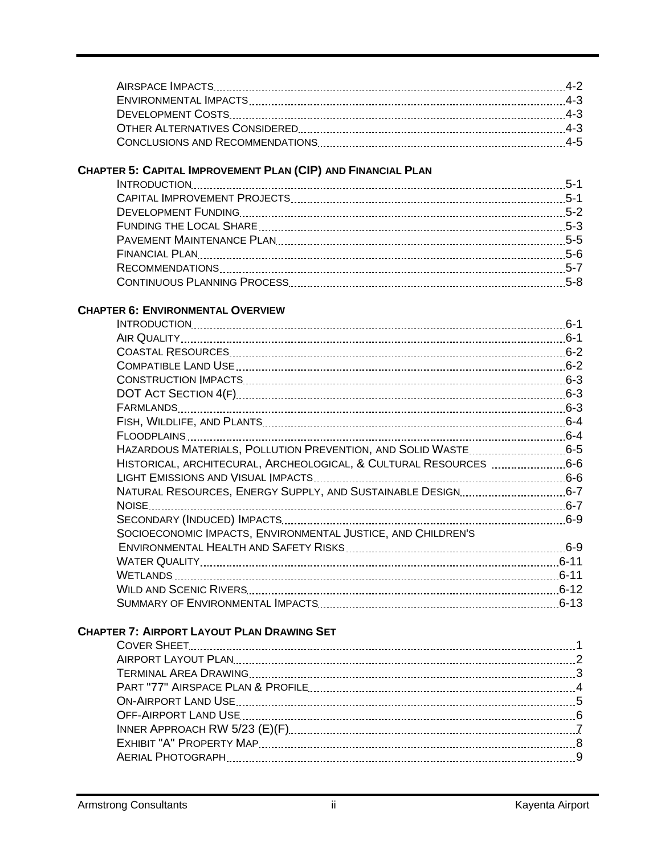# **CHAPTER 5: CAPITAL IMPROVEMENT PLAN (CIP) AND FINANCIAL PLAN**

## **CHAPTER 6: ENVIRONMENTAL OVERVIEW**

|                                                                    | $6 - 1$  |
|--------------------------------------------------------------------|----------|
|                                                                    |          |
|                                                                    |          |
|                                                                    |          |
|                                                                    |          |
|                                                                    |          |
|                                                                    |          |
|                                                                    |          |
|                                                                    |          |
| HAZARDOUS MATERIALS, POLLUTION PREVENTION, AND SOLID WASTE 6-5     |          |
| HISTORICAL, ARCHITECURAL, ARCHEOLOGICAL, & CULTURAL RESOURCES  6-6 |          |
|                                                                    |          |
| NATURAL RESOURCES, ENERGY SUPPLY, AND SUSTAINABLE DESIGN6-7        |          |
|                                                                    |          |
|                                                                    |          |
| SOCIOECONOMIC IMPACTS, ENVIRONMENTAL JUSTICE, AND CHILDREN'S       |          |
|                                                                    |          |
|                                                                    | $6 - 11$ |
|                                                                    |          |
|                                                                    |          |
|                                                                    | $6 - 13$ |

# **CHAPTER 7: AIRPORT LAYOUT PLAN DRAWING SET**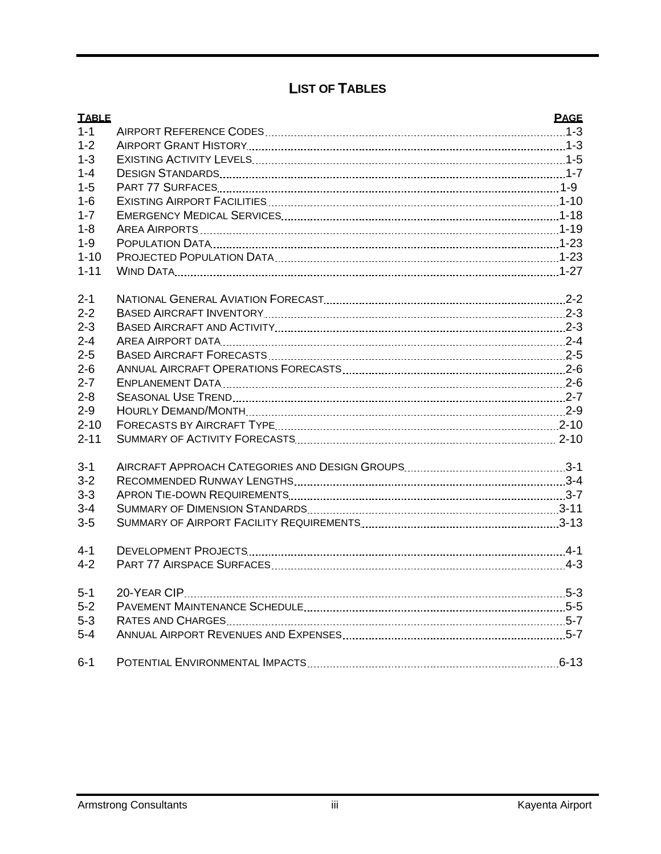# **LIST OF TABLES**

| <b>TABLE</b> | <b>PAGE</b> |
|--------------|-------------|
| $1 - 1$      |             |
| $1 - 2$      |             |
| $1 - 3$      |             |
| $1 - 4$      |             |
| $1 - 5$      |             |
| $1 - 6$      |             |
| $1 - 7$      |             |
| $1 - 8$      |             |
| $1 - 9$      |             |
| $1 - 10$     |             |
| $1 - 11$     |             |
| $2 - 1$      |             |
| $2 - 2$      |             |
| $2 - 3$      |             |
| $2 - 4$      |             |
| $2 - 5$      |             |
| $2 - 6$      |             |
| $2 - 7$      |             |
| $2 - 8$      |             |
| $2 - 9$      |             |
| $2 - 10$     |             |
| $2 - 11$     |             |
| $3 - 1$      |             |
| $3 - 2$      |             |
| $3 - 3$      |             |
| $3 - 4$      |             |
| $3-5$        |             |
| $4 - 1$      |             |
| $4 - 2$      |             |
| $5 - 1$      |             |
| $5 - 2$      |             |
| $5 - 3$      |             |
| $5 - 4$      |             |
| $6 - 1$      |             |